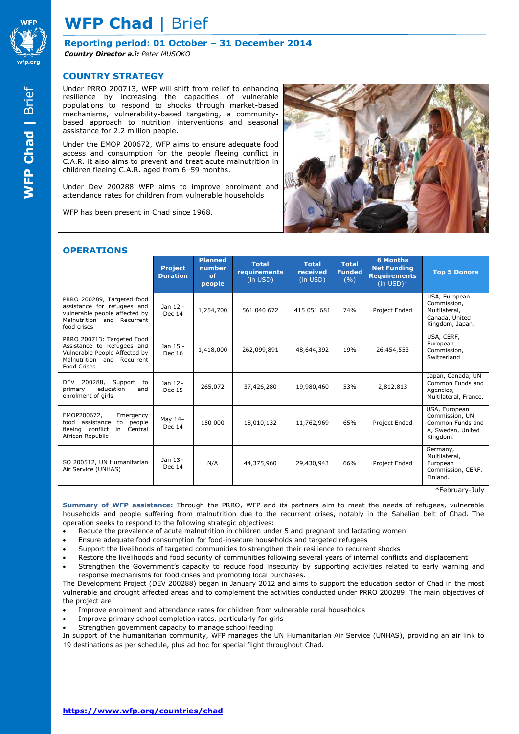

**Reporting period: 01 October – 31 December 2014** *Country Director a.i: Peter MUSOKO*

#### **COUNTRY STRATEGY**

Under PRRO 200713, WFP will shift from relief to enhancing resilience by increasing the capacities of vulnerable populations to respond to shocks through market-based mechanisms, vulnerability-based targeting, a communitybased approach to nutrition interventions and seasonal assistance for 2.2 million people.

Under the EMOP 200672, WFP aims to ensure adequate food access and consumption for the people fleeing conflict in C.A.R. it also aims to prevent and treat acute malnutrition in children fleeing C.A.R. aged from 6–59 months.

Under Dev 200288 WFP aims to improve enrolment and attendance rates for children from vulnerable households

WFP has been present in Chad since 1968.



#### **OPERATIONS**

|                                                                                                                                               | <b>Project</b><br><b>Duration</b> | <b>Planned</b><br>number<br>of<br>people | <b>Total</b><br>requirements<br>(in USD) | <b>Total</b><br>received<br>(in USD) | <b>Total</b><br><b>Funded</b><br>(9/0) | <b>6 Months</b><br><b>Net Funding</b><br><b>Requirements</b><br>$(in$ USD $)*$ | <b>Top 5 Donors</b>                                                                  |
|-----------------------------------------------------------------------------------------------------------------------------------------------|-----------------------------------|------------------------------------------|------------------------------------------|--------------------------------------|----------------------------------------|--------------------------------------------------------------------------------|--------------------------------------------------------------------------------------|
| PRRO 200289, Targeted food<br>assistance for refugees and<br>vulnerable people affected by<br>Malnutrition and<br>Recurrent<br>food crises    | Jan 12 -<br><b>Dec 14</b>         | 1,254,700                                | 561 040 672                              | 415 051 681                          | 74%                                    | Project Ended                                                                  | USA, European<br>Commission,<br>Multilateral,<br>Canada, United<br>Kingdom, Japan.   |
| PRRO 200713: Targeted Food<br>Assistance to Refugees and<br>Vulnerable People Affected by<br>Malnutrition and Recurrent<br><b>Food Crises</b> | Jan 15 -<br><b>Dec 16</b>         | 1,418,000                                | 262,099,891                              | 48,644,392                           | 19%                                    | 26,454,553                                                                     | USA, CERF,<br>European<br>Commission,<br>Switzerland                                 |
| <b>DEV</b><br>200288, Support to<br>education<br>primary<br>and<br>enrolment of girls                                                         | Jan 12-<br>Dec 15                 | 265,072                                  | 37,426,280                               | 19,980,460                           | 53%                                    | 2,812,813                                                                      | Japan, Canada, UN<br>Common Funds and<br>Agencies,<br>Multilateral, France.          |
| EMOP200672,<br>Emergency<br>people<br>food<br>assistance<br>to<br>fleeing conflict<br>Central<br>in<br>African Republic                       | May 14-<br>Dec 14                 | 150 000                                  | 18,010,132                               | 11,762,969                           | 65%                                    | Project Ended                                                                  | USA, European<br>Commission, UN<br>Common Funds and<br>A, Sweden, United<br>Kingdom. |
| SO 200512, UN Humanitarian<br>Air Service (UNHAS)                                                                                             | Jan 13-<br><b>Dec 14</b>          | N/A                                      | 44,375,960                               | 29,430,943                           | 66%                                    | Project Ended                                                                  | Germany,<br>Multilateral,<br>European<br>Commission, CERF,<br>Finland.               |

\*February-July

**Summary of WFP assistance:** Through the PRRO, WFP and its partners aim to meet the needs of refugees, vulnerable households and people suffering from malnutrition due to the recurrent crises, notably in the Sahelian belt of Chad. The operation seeks to respond to the following strategic objectives:

- Reduce the prevalence of acute malnutrition in children under 5 and pregnant and lactating women
- Ensure adequate food consumption for food-insecure households and targeted refugees
- Support the livelihoods of targeted communities to strengthen their resilience to recurrent shocks
- Restore the livelihoods and food security of communities following several years of internal conflicts and displacement
- Strengthen the Government's capacity to reduce food insecurity by supporting activities related to early warning and response mechanisms for food crises and promoting local purchases.

The Development Project (DEV 200288) began in January 2012 and aims to support the education sector of Chad in the most vulnerable and drought affected areas and to complement the activities conducted under PRRO 200289. The main objectives of the project are:

- Improve enrolment and attendance rates for children from vulnerable rural households
- Improve primary school completion rates, particularly for girls
- Strengthen government capacity to manage school feeding

In support of the humanitarian community, WFP manages the UN Humanitarian Air Service (UNHAS), providing an air link to 19 destinations as per schedule, plus ad hoc for special flight throughout Chad.